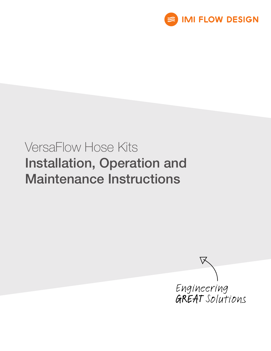

# VersaFlow Hose Kits Installation, Operation and Maintenance Instructions

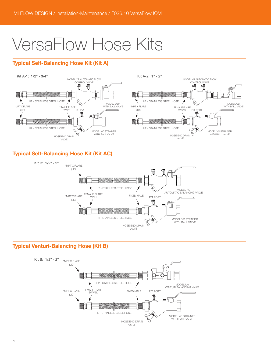# VersaFlow Hose Kits

# Typical Self-Balancing Hose Kit (Kit A)



# Typical Self-Balancing Hose Kit (Kit AC)



# Typical Venturi-Balancing Hose (Kit B)

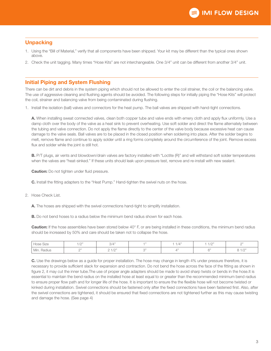# **Unpacking**

- 1. Using the "Bill of Material," verify that all components have been shipped. Your kit may be different than the typical ones shown above.
- 2. Check the unit tagging. Many times "Hose Kits" are not interchangeable. One 3/4" unit can be different from another 3/4" unit.

# Initial Piping and System Flushing

There can be dirt and debris in the system piping which should not be allowed to enter the coil strainer, the coil or the balancing valve. The use of aggressive cleaning and flushing agents should be avoided. The following steps for initially piping the "Hose Kits" will protect the coil, strainer and balancing valve from being contaminated during flushing.

1. Install the isolation (ball) valves and connectors for the heat pump. The ball valves are shipped with hand-tight connections.

A. When installing sweat connected valves, clean both copper tube and valve ends with emery cloth and apply flux uniformly. Use a damp cloth over the body of the valve as a heat sink to prevent overheating. Use soft solder and direct the flame alternately between the tubing and valve connection. Do not apply the flame directly to the center of the valve body because excessive heat can cause damage to the valve seals. Ball valves are to be placed in the closed position when soldering into place. After the solder begins to melt, remove flame and continue to apply solder until a ring forms completely around the circumference of the joint. Remove excess flux and solder while the joint is still hot.

B. P/T plugs, air vents and blowdown/drain valves are factory installed with "Loctite (R)" and will withstand soft solder temperatures when the valves are "heat-sinked." If these units should leak upon pressure test, remove and re-install with new sealant.

**Caution:** Do not tighten under fluid pressure.

C. Install the fitting adapters to the "Heat Pump." Hand-tighten the swivel nuts on the hose.

2. Hose Check List.

A. The hoses are shipped with the swivel connections hand-tight to simplify installation.

**B.** Do not bend hoses to a radius below the minimum bend radius shown for each hose.

Caution: If the hose assemblies have been stored below 40° F, or are being installed in these conditions, the minimum bend radius should be increased by 50% and care should be taken not to collapse the hose.

| Size<br>Hose   | $/ \cap$ "<br>$\sim$ | 3/4"                         |              | (4" | 101<br>$1/\mathcal{L}$ | $\bigcap$            |
|----------------|----------------------|------------------------------|--------------|-----|------------------------|----------------------|
| Radius<br>Min. | $\bigcap$ 33         | $+1033$<br>$1/\sqrt{2}$<br>∼ | $\bigcap$ 33 |     | $\sim$                 | $/ \cap$<br><u>_</u> |

C. Use the drawings below as a guide for proper installation. The hose may change in length 4% under pressure therefore, it is necessary to provide sufficient slack for expansion and contraction. Do not bend the hose across the face of the fitting as shown in figure 2, it may cut the inner tube.The use of proper angle adapters should be made to avoid sharp twists or bends in the hose.It is essential to maintain the bend radius on the installed hose at least equal to or greater than the recommended minimum bend radius to ensure proper flow path and for longer life of the hose. It is important to ensure the the flexible hose will not become twisted or kinked during installation. Swivel connections should be fastened only after the fixed connections have been fastened first. Also, after the swivel connections are tightened, it should be ensured that fixed connections are not tightened further as this may cause twisting and damage the hose. (See page 4)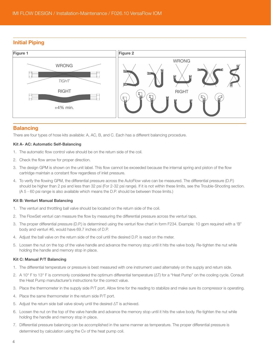# Initial Piping



# **Balancing**

There are four types of hose kits available: A, AC, B, and C. Each has a different balancing procedure.

#### Kit A- AC: Automatic Self-Balancing

- 1. The automatic flow control valve should be on the return side of the coil.
- 2. Check the flow arrow for proper direction.
- 3. The design GPM is shown on the unit label. This flow cannot be exceeded because the internal spring and piston of the flow cartridge maintain a constant flow regardless of inlet pressure.
- 4. To verify the flowing GPM, the differential pressure across the AutoFlow valve can be measured. The differential pressure (D.P.) should be higher than 2 psi and less than 32 psi (For 2-32 psi range). If it is not within these limits, see the Trouble-Shooting section. (A 5 - 60 psi range is also available which means the D.P. should be between those limits.)

#### Kit B: Venturi Manual Balancing

- 1. The venturi and throttling ball valve should be located on the return side of the coil.
- 2. The FlowSet venturi can measure the flow by measuring the differential pressure across the venturi taps.
- 3. The proper differential pressure (D.P.) is determined using the venturi flow chart in form F234. Example: 10 gpm required with a 'B" body and venturi #6, would have 69.7 inches of D.P.
- 4. Adjust the ball valve on the return side of the coil until the desired D.P. is read on the meter.
- 5. Loosen the nut on the top of the valve handle and advance the memory stop until it hits the valve body. Re-tighten the nut while holding the handle and memory stop in place.

#### Kit C: Manual P/T Balancing

- 1. The differential temperature or pressure is best measured with one instrument used alternately on the supply and return side.
- 2. A 10° F to 13° F is commonly considered the optimum differential temperature (ΔT) for a "Heat Pump" on the cooling cycle. Consult the Heat Pump manufacturer's instructions for the correct value.
- 3. Place the thermometer in the supply side P/T port. Allow time for the reading to stabilize and make sure its compressor is operating.
- 4. Place the same thermometer in the return side P/T port.
- 5. Adjust the return side ball valve slowly until the desired ΔT is achieved.
- 6. Loosen the nut on the top of the valve handle and advance the memory stop until it hits the valve body. Re-tighten the nut while holding the handle and memory stop in place.
- 7. Differential pressure balancing can be accomplished in the same manner as temperature. The proper differential pressure is determined by calculation using the Cv of the heat pump coil.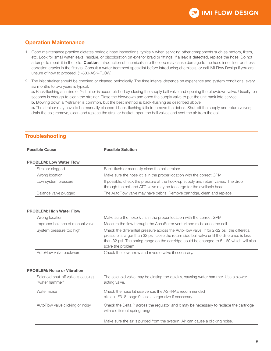# Operation Maintenance

- 1. Good maintenance practice dictates periodic hose inspections, typically when servicing other components such as motors, filters, etc. Look for small water leaks, residue, or discoloration on exterior braid or fittings. If a leak is detected, replace the hose. Do not attempt to repair it in the field. Caution: Introduction of chemicals into the loop may cause damage to the hose inner liner or stress corrosion cracks in the fittings. Consult a water treatment specialist before introducing chemicals, or call IMI Flow Design if you are unsure of how to proceed. (1-800-ASK-FLOW)
- 2. The inlet strainer should be checked or cleaned periodically. The time interval depends on experience and system conditions; every six months to two years is typical.

a. Back-flushing an inline or Y-strainer is accomplished by closing the supply ball valve and opening the blowdown valve. Usually ten seconds is enough to clean the strainer. Close the blowdown and open the supply valve to put the unit back into service.

b. Blowing down a Y-strainer is common, but the best method is back-flushing as described above.

c. The strainer may have to be manually cleaned if back-flushing fails to remove the debris. Shut-off the supply and return valves; drain the coil; remove, clean and replace the strainer basket; open the ball valves and vent the air from the coil.

# **Troubleshooting**

#### **Possible Cause Cause Construction** Possible Solution

#### PROBLEM: Low Water Flow

| Strainer clogged      | Back-flush or manually clean the coil strainer.                                                                                                              |
|-----------------------|--------------------------------------------------------------------------------------------------------------------------------------------------------------|
| Wrong location        | Make sure the hose kit is in the proper location with the correct GPM.                                                                                       |
| Low system pressure   | If possible, check the pressure at the hook-up supply and return valves. The drop<br>through the coil and ATC valve may be too large for the available head. |
| Balance valve plugged | The AutoFlow valve may have debris. Remove cartridge, clean and replace.                                                                                     |

#### PROBLEM: High Water Flow

| Wrong location                   | Make sure the hose kit is in the proper location with the correct GPM.                                                                                                                                                                                                                                          |
|----------------------------------|-----------------------------------------------------------------------------------------------------------------------------------------------------------------------------------------------------------------------------------------------------------------------------------------------------------------|
| Improper balance of manual valve | Measure the flow through the AccuSetter venturi and re-balance the coil.                                                                                                                                                                                                                                        |
| System pressure too high         | Check the differential pressure across the AutoFlow valve. If for 2-32 psi, the differetial<br>pressure is larger than 32 psi, close the return side ball valve until the difference is less<br>than 32 psi. The spring range on the cartridge could be changed to 5 - 60 which will also<br>solve the problem. |
| AutoFlow valve backward          | Check the flow arrow and reverse valve if necessary.                                                                                                                                                                                                                                                            |

#### PROBLEM: Noise or Vibration

| Solenoid shut-off valve is causing<br>"water hammer" | The solenoid valve may be closing too quickly, causing water hammer. Use a slower<br>acting valve.                        |  |
|------------------------------------------------------|---------------------------------------------------------------------------------------------------------------------------|--|
| Water noise                                          | Check the hose kit size versus the ASHRAE recommended<br>sizes in F318, page 9. Use a larger size if necessary.           |  |
| AutoFlow valve clicking or noisy                     | Check the Delta P across the regulator and it may be necessary to replace the cartridge<br>with a different spring range. |  |
|                                                      | Make sure the air is purged from the system. Air can cause a clicking noise.                                              |  |